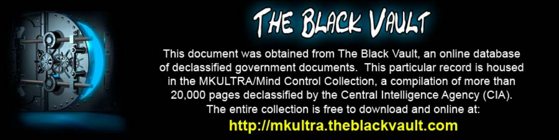

This document was obtained from The Black Vault, an online database of declassified government documents. This particular record is housed in the MKULTRA/Mind Control Collection, a compilation of more than 20,000 pages declassified by the Central Intelligence Agency (CIA). The entire collection is free to download and online at: http://mkultra.theblackvault.com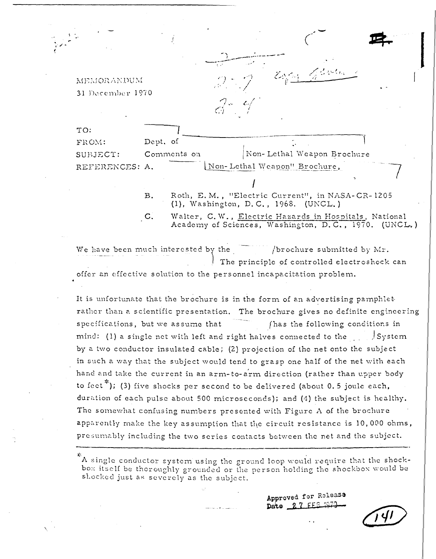MEMORANDUM 31 December 1970  $\le$  denotes

TO: FROM: Dept. of Comments on Non-Lethal Weapon Brochure SUBJECT: REFERENCES: A. Non-Lethal Weapon" Brochure,

> Roth, E.M., "Electric Current", in NASA-CR-1205 **B.** (1), Washington, D.C., 1968. (UNCL.)

 $\mathbf{C}$ Walter, C.W., Electric Hazards in Hospitals, National Academy of Sciences, Washington, D.C., 1970. (UNCL.)

We have been much interested by the /brochure submitted by Mr. The principle of controlled electroshock can offer an effective solution to the personnel incapacitation problem.

It is unfortunate that the brochure is in the form of an advertising pamphlet rather than a scientific presentation. The brochure gives no definite engineering specifications, but we assume that (has the following conditions in mind: (1) a single net with left and right halves connected to the System by a two conductor insulated cable; (2) projection of the net onto the subject in such a way that the subject would tend to grasp one half of the net with each hand and take the current in an arm-to-arm direction (rather than upper body to fect<sup>\*</sup>); (3) five shocks per second to be delivered (about 0.5 joule each, duration of each pulse about 500 microseconds); and (4) the subject is healthy. The somewhat confusing numbers presented with Figure A of the brochure apparently make the key assumption that the circuit resistance is 10,000 ohms, presumably including the two series contacts between the net and the subject.

A single conductor system using the ground loop would require that the shockbox itself be thoroughly grounded or the person holding the shockbox would be shocked just as severely as the subject.

> Approved for Release Date 27 FFS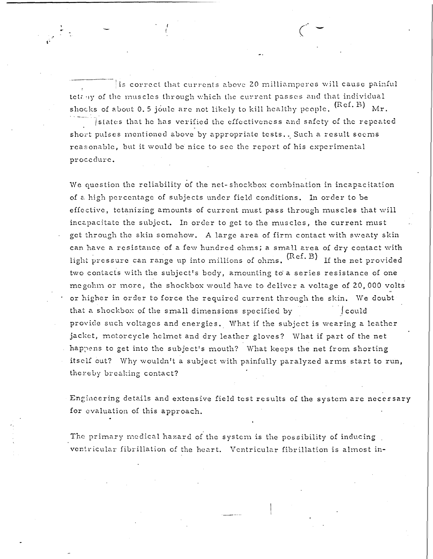$\vert$  is correct that currents above 20 milliamperes will cause painful telany of the muscles through which the current passes and that individual shocks of about 0.5 joule are not likely to kill healthy people.  $(\text{Ref. B})$   $\text{Mr.}$ 

 $\left($ 

,•

(

.• ~.

> $\bar{\text{I}}$  states that he has verified the effectiveness and safety of the repeated short pulses mentioned above by appropriate tests.. Such a result seems reasonable, but it would be nice to see the report of his experimental procedure.

We question the reliability of the net-shockbox combination in incapacitation of a high percentage of subjects under field conditions. In order to be effective, tetanizing amounts of current must pass through muscles that will incapacitate the subject. In order to get to the muscles, the current must get through the skin somehow. A large area of firm contact with sweaty skin can have a resistance of a few hundred ohms; a small area of dry contact with light pressure can range up into millions of ohms.  $(Ref. B)$  If the net provided two contacts with the subject's body, amounting to a series resistance of one me gohm or more, the shockbox would have to deliver a voltage of 20,000 volts or higher in order to force the required current through the skin. We doubt that a shockbox of the small dimensions specified by  $\int \text{could}$ provide such voltages and energies. What if the subject is wearing a leather jacket, motorcycle helmet and dry leather gloves? What if part of the net happens to get into the subject's mouth? What keeps the net from shorting itself out? Why wouldn't a subject with painfully paralyzed arms start to run, thereby breaking contact?

Engineering details and extensive field test results of the system are necessary for evaluation of this approach.

The primary medical hazard of the system is the possibility of inducing. ventricular fibrillation of the heart. Ventricular fibrillation is almost in